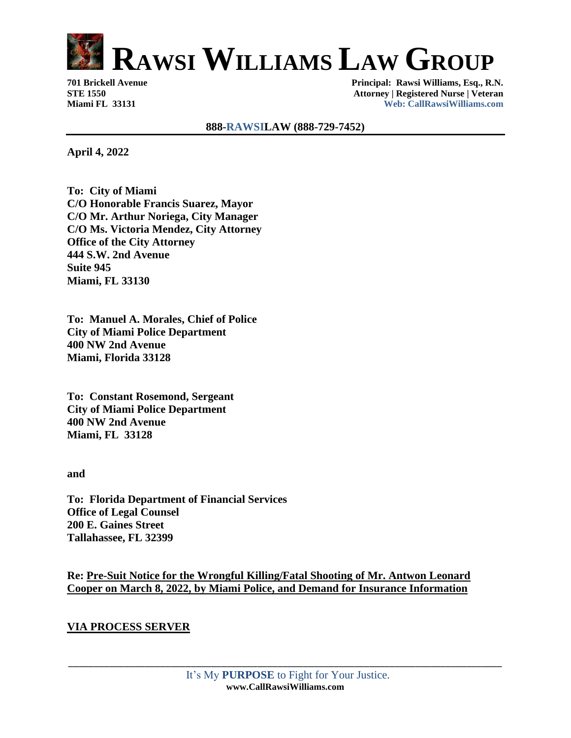

## **888-RAWSILAW (888-729-7452)**

**April 4, 2022**

**To: City of Miami C/O Honorable Francis Suarez, Mayor C/O Mr. Arthur Noriega, City Manager C/O Ms. Victoria Mendez, City Attorney Office of the City Attorney 444 S.W. 2nd Avenue Suite 945 Miami, FL 33130**

**To: Manuel A. Morales, Chief of Police City of Miami Police Department 400 NW 2nd Avenue Miami, Florida 33128**

**To: Constant Rosemond, Sergeant City of Miami Police Department 400 NW 2nd Avenue Miami, FL 33128**

**and**

**To: Florida Department of Financial Services Office of Legal Counsel 200 E. Gaines Street Tallahassee, FL 32399**

**Re: Pre-Suit Notice for the Wrongful Killing/Fatal Shooting of Mr. Antwon Leonard Cooper on March 8, 2022, by Miami Police, and Demand for Insurance Information** 

## **VIA PROCESS SERVER**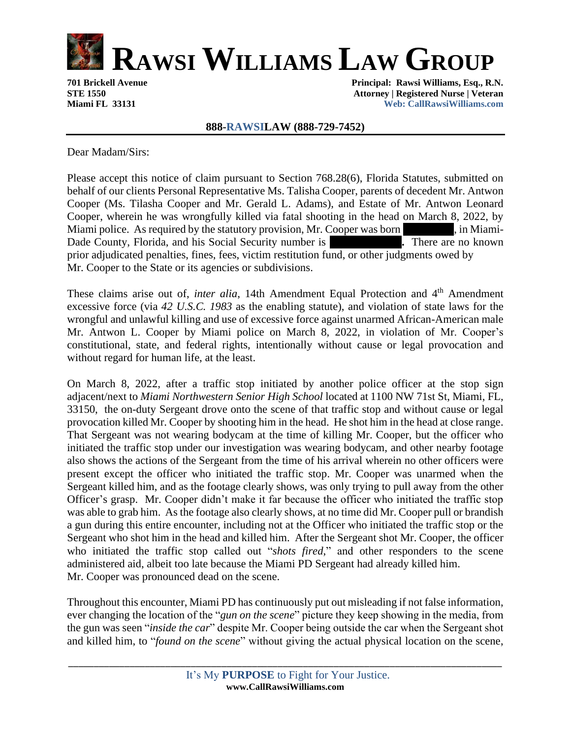

### **888-RAWSILAW (888-729-7452)**

Dear Madam/Sirs:

Please accept this notice of claim pursuant to Section 768.28(6), Florida Statutes, submitted on behalf of our clients Personal Representative Ms. Talisha Cooper, parents of decedent Mr. Antwon Cooper (Ms. Tilasha Cooper and Mr. Gerald L. Adams), and Estate of Mr. Antwon Leonard Cooper, wherein he was wrongfully killed via fatal shooting in the head on March 8, 2022, by Miami police. As required by the statutory provision, Mr. Cooper was born **000.** The Miami-Dade County, Florida, and his Social Security number is **There are no known .** There are no known prior adjudicated penalties, fines, fees, victim restitution fund, or other judgments owed by Mr. Cooper to the State or its agencies or subdivisions.

These claims arise out of, *inter alia*, 14th Amendment Equal Protection and 4<sup>th</sup> Amendment excessive force (via *42 U.S.C. 1983* as the enabling statute), and violation of state laws for the wrongful and unlawful killing and use of excessive force against unarmed African-American male Mr. Antwon L. Cooper by Miami police on March 8, 2022, in violation of Mr. Cooper's constitutional, state, and federal rights, intentionally without cause or legal provocation and without regard for human life, at the least.

On March 8, 2022, after a traffic stop initiated by another police officer at the stop sign adjacent/next to *Miami Northwestern Senior High School* located at 1100 NW 71st St, Miami, FL, 33150, the on-duty Sergeant drove onto the scene of that traffic stop and without cause or legal provocation killed Mr. Cooper by shooting him in the head. He shot him in the head at close range. That Sergeant was not wearing bodycam at the time of killing Mr. Cooper, but the officer who initiated the traffic stop under our investigation was wearing bodycam, and other nearby footage also shows the actions of the Sergeant from the time of his arrival wherein no other officers were present except the officer who initiated the traffic stop. Mr. Cooper was unarmed when the Sergeant killed him, and as the footage clearly shows, was only trying to pull away from the other Officer's grasp. Mr. Cooper didn't make it far because the officer who initiated the traffic stop was able to grab him. As the footage also clearly shows, at no time did Mr. Cooper pull or brandish a gun during this entire encounter, including not at the Officer who initiated the traffic stop or the Sergeant who shot him in the head and killed him. After the Sergeant shot Mr. Cooper, the officer who initiated the traffic stop called out "*shots fired*," and other responders to the scene administered aid, albeit too late because the Miami PD Sergeant had already killed him. Mr. Cooper was pronounced dead on the scene.

Throughout this encounter, Miami PD has continuously put out misleading if not false information, ever changing the location of the "*gun on the scene*" picture they keep showing in the media, from the gun was seen "*inside the car*" despite Mr. Cooper being outside the car when the Sergeant shot and killed him, to "*found on the scene*" without giving the actual physical location on the scene,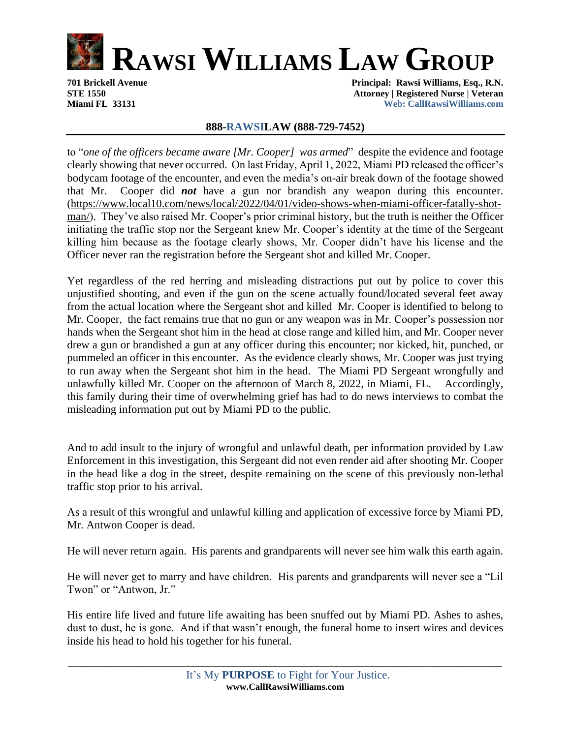

# **888-RAWSILAW (888-729-7452)**

to "*one of the officers became aware [Mr. Cooper] was armed*" despite the evidence and footage clearly showing that never occurred. On last Friday, April 1, 2022, Miami PD released the officer's bodycam footage of the encounter, and even the media's on-air break down of the footage showed that Mr. Cooper did *not* have a gun nor brandish any weapon during this encounter. [\(https://www.local10.com/news/local/2022/04/01/video-shows-when-miami-officer-fatally-shot](https://www.local10.com/news/local/2022/04/01/video-shows-when-miami-officer-fatally-shot-man/)[man/\)](https://www.local10.com/news/local/2022/04/01/video-shows-when-miami-officer-fatally-shot-man/). They've also raised Mr. Cooper's prior criminal history, but the truth is neither the Officer initiating the traffic stop nor the Sergeant knew Mr. Cooper's identity at the time of the Sergeant killing him because as the footage clearly shows, Mr. Cooper didn't have his license and the Officer never ran the registration before the Sergeant shot and killed Mr. Cooper.

Yet regardless of the red herring and misleading distractions put out by police to cover this unjustified shooting, and even if the gun on the scene actually found/located several feet away from the actual location where the Sergeant shot and killed Mr. Cooper is identified to belong to Mr. Cooper, the fact remains true that no gun or any weapon was in Mr. Cooper's possession nor hands when the Sergeant shot him in the head at close range and killed him, and Mr. Cooper never drew a gun or brandished a gun at any officer during this encounter; nor kicked, hit, punched, or pummeled an officer in this encounter. As the evidence clearly shows, Mr. Cooper was just trying to run away when the Sergeant shot him in the head. The Miami PD Sergeant wrongfully and unlawfully killed Mr. Cooper on the afternoon of March 8, 2022, in Miami, FL. Accordingly, this family during their time of overwhelming grief has had to do news interviews to combat the misleading information put out by Miami PD to the public.

And to add insult to the injury of wrongful and unlawful death, per information provided by Law Enforcement in this investigation, this Sergeant did not even render aid after shooting Mr. Cooper in the head like a dog in the street, despite remaining on the scene of this previously non-lethal traffic stop prior to his arrival.

As a result of this wrongful and unlawful killing and application of excessive force by Miami PD, Mr. Antwon Cooper is dead.

He will never return again. His parents and grandparents will never see him walk this earth again.

He will never get to marry and have children. His parents and grandparents will never see a "Lil Twon" or "Antwon, Jr."

His entire life lived and future life awaiting has been snuffed out by Miami PD. Ashes to ashes, dust to dust, he is gone. And if that wasn't enough, the funeral home to insert wires and devices inside his head to hold his together for his funeral.